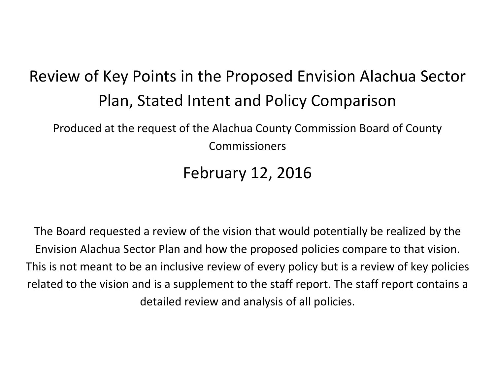# Review of Key Points in the Proposed Envision Alachua Sector Plan, Stated Intent and Policy Comparison

Produced at the request of the Alachua County Commission Board of County Commissioners

February 12, 2016

The Board requested a review of the vision that would potentially be realized by the Envision Alachua Sector Plan and how the proposed policies compare to that vision. This is not meant to be an inclusive review of every policy but is a review of key policies related to the vision and is a supplement to the staff report. The staff report contains a detailed review and analysis of all policies.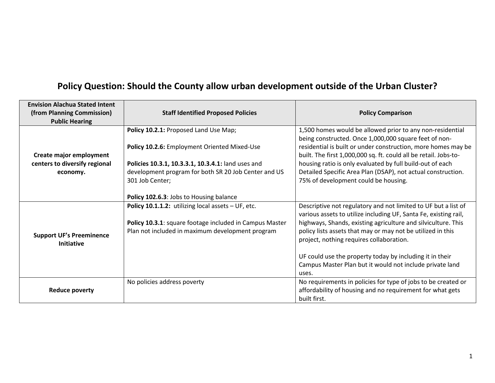| <b>Envision Alachua Stated Intent</b><br>(from Planning Commission)<br><b>Public Hearing</b> | <b>Staff Identified Proposed Policies</b>               | <b>Policy Comparison</b>                                                                                                                                                            |
|----------------------------------------------------------------------------------------------|---------------------------------------------------------|-------------------------------------------------------------------------------------------------------------------------------------------------------------------------------------|
|                                                                                              | Policy 10.2.1: Proposed Land Use Map;                   | 1,500 homes would be allowed prior to any non-residential<br>being constructed. Once 1,000,000 square feet of non-<br>residential is built or under construction, more homes may be |
| Create major employment                                                                      | Policy 10.2.6: Employment Oriented Mixed-Use            | built. The first 1,000,000 sq. ft. could all be retail. Jobs-to-                                                                                                                    |
| centers to diversify regional                                                                | Policies 10.3.1, 10.3.3.1, 10.3.4.1: land uses and      | housing ratio is only evaluated by full build-out of each                                                                                                                           |
| economy.                                                                                     | development program for both SR 20 Job Center and US    | Detailed Specific Area Plan (DSAP), not actual construction.                                                                                                                        |
|                                                                                              | 301 Job Center;                                         | 75% of development could be housing.                                                                                                                                                |
|                                                                                              | Policy 102.6.3: Jobs to Housing balance                 |                                                                                                                                                                                     |
|                                                                                              | Policy 10.1.1.2: utilizing local assets $-$ UF, etc.    | Descriptive not regulatory and not limited to UF but a list of<br>various assets to utilize including UF, Santa Fe, existing rail,                                                  |
|                                                                                              | Policy 10.3.1: square footage included in Campus Master | highways, Shands, existing agriculture and silviculture. This                                                                                                                       |
|                                                                                              | Plan not included in maximum development program        | policy lists assets that may or may not be utilized in this                                                                                                                         |
| <b>Support UF's Preeminence</b><br><b>Initiative</b>                                         |                                                         | project, nothing requires collaboration.                                                                                                                                            |
|                                                                                              |                                                         | UF could use the property today by including it in their                                                                                                                            |
|                                                                                              |                                                         | Campus Master Plan but it would not include private land                                                                                                                            |
|                                                                                              |                                                         | uses.                                                                                                                                                                               |
| <b>Reduce poverty</b>                                                                        | No policies address poverty                             | No requirements in policies for type of jobs to be created or<br>affordability of housing and no requirement for what gets                                                          |
|                                                                                              |                                                         | built first.                                                                                                                                                                        |

#### **Policy Question: Should the County allow urban development outside of the Urban Cluster?**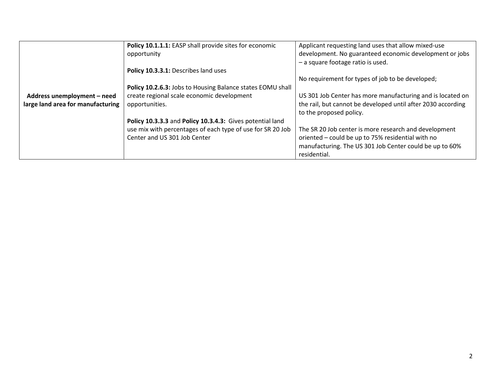|                                   | Policy 10.1.1.1: EASP shall provide sites for economic     | Applicant requesting land uses that allow mixed-use          |
|-----------------------------------|------------------------------------------------------------|--------------------------------------------------------------|
|                                   | opportunity                                                | development. No guaranteed economic development or jobs      |
|                                   |                                                            | - a square footage ratio is used.                            |
|                                   | Policy 10.3.3.1: Describes land uses                       |                                                              |
|                                   |                                                            | No requirement for types of job to be developed;             |
|                                   | Policy 10.2.6.3: Jobs to Housing Balance states EOMU shall |                                                              |
| Address unemployment - need       | create regional scale economic development                 | US 301 Job Center has more manufacturing and is located on   |
| large land area for manufacturing | opportunities.                                             | the rail, but cannot be developed until after 2030 according |
|                                   |                                                            | to the proposed policy.                                      |
|                                   | Policy 10.3.3.3 and Policy 10.3.4.3: Gives potential land  |                                                              |
|                                   | use mix with percentages of each type of use for SR 20 Job | The SR 20 Job center is more research and development        |
|                                   | Center and US 301 Job Center                               | oriented - could be up to 75% residential with no            |
|                                   |                                                            | manufacturing. The US 301 Job Center could be up to 60%      |
|                                   |                                                            | residential.                                                 |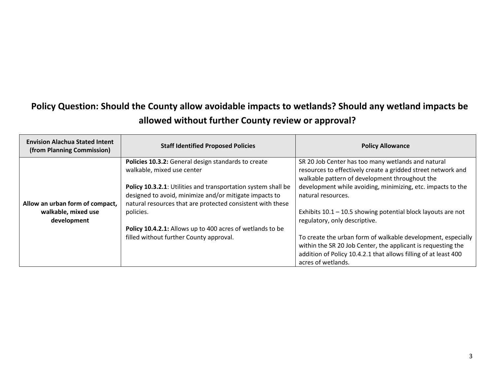## **Policy Question: Should the County allow avoidable impacts to wetlands? Should any wetland impacts be allowed without further County review or approval?**

| <b>Envision Alachua Stated Intent</b><br>(from Planning Commission) | <b>Staff Identified Proposed Policies</b>                     | <b>Policy Allowance</b>                                         |
|---------------------------------------------------------------------|---------------------------------------------------------------|-----------------------------------------------------------------|
|                                                                     | Policies 10.3.2: General design standards to create           | SR 20 Job Center has too many wetlands and natural              |
|                                                                     | walkable, mixed use center                                    | resources to effectively create a gridded street network and    |
|                                                                     |                                                               | walkable pattern of development throughout the                  |
|                                                                     | Policy 10.3.2.1: Utilities and transportation system shall be | development while avoiding, minimizing, etc. impacts to the     |
|                                                                     | designed to avoid, minimize and/or mitigate impacts to        | natural resources.                                              |
| Allow an urban form of compact,                                     | natural resources that are protected consistent with these    |                                                                 |
| walkable, mixed use                                                 | policies.                                                     | Exhibits $10.1 - 10.5$ showing potential block layouts are not  |
| development                                                         |                                                               | regulatory, only descriptive.                                   |
|                                                                     | Policy 10.4.2.1: Allows up to 400 acres of wetlands to be     |                                                                 |
|                                                                     | filled without further County approval.                       | To create the urban form of walkable development, especially    |
|                                                                     |                                                               | within the SR 20 Job Center, the applicant is requesting the    |
|                                                                     |                                                               | addition of Policy 10.4.2.1 that allows filling of at least 400 |
|                                                                     |                                                               | acres of wetlands.                                              |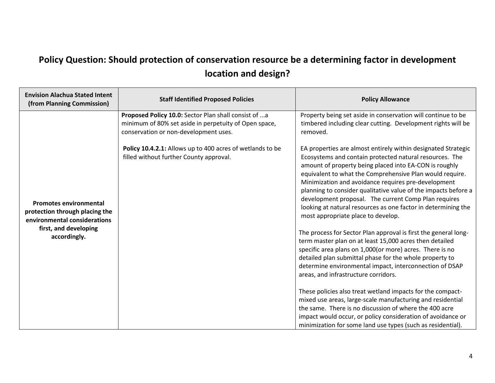## **Policy Question: Should protection of conservation resource be a determining factor in development location and design?**

| <b>Envision Alachua Stated Intent</b><br>(from Planning Commission)                                                                      | <b>Staff Identified Proposed Policies</b>                                                                                                              | <b>Policy Allowance</b>                                                                                                                                                                                                                                                                                                                                                                                                                                                                                                                                                                                                                                                                                                                                                                                                                                                                                                                                                                                                                                                                                                                                                                                            |
|------------------------------------------------------------------------------------------------------------------------------------------|--------------------------------------------------------------------------------------------------------------------------------------------------------|--------------------------------------------------------------------------------------------------------------------------------------------------------------------------------------------------------------------------------------------------------------------------------------------------------------------------------------------------------------------------------------------------------------------------------------------------------------------------------------------------------------------------------------------------------------------------------------------------------------------------------------------------------------------------------------------------------------------------------------------------------------------------------------------------------------------------------------------------------------------------------------------------------------------------------------------------------------------------------------------------------------------------------------------------------------------------------------------------------------------------------------------------------------------------------------------------------------------|
|                                                                                                                                          | Proposed Policy 10.0: Sector Plan shall consist of a<br>minimum of 80% set aside in perpetuity of Open space,<br>conservation or non-development uses. | Property being set aside in conservation will continue to be<br>timbered including clear cutting. Development rights will be<br>removed.                                                                                                                                                                                                                                                                                                                                                                                                                                                                                                                                                                                                                                                                                                                                                                                                                                                                                                                                                                                                                                                                           |
| <b>Promotes environmental</b><br>protection through placing the<br>environmental considerations<br>first, and developing<br>accordingly. | Policy 10.4.2.1: Allows up to 400 acres of wetlands to be<br>filled without further County approval.                                                   | EA properties are almost entirely within designated Strategic<br>Ecosystems and contain protected natural resources. The<br>amount of property being placed into EA-CON is roughly<br>equivalent to what the Comprehensive Plan would require.<br>Minimization and avoidance requires pre-development<br>planning to consider qualitative value of the impacts before a<br>development proposal. The current Comp Plan requires<br>looking at natural resources as one factor in determining the<br>most appropriate place to develop.<br>The process for Sector Plan approval is first the general long-<br>term master plan on at least 15,000 acres then detailed<br>specific area plans on 1,000(or more) acres. There is no<br>detailed plan submittal phase for the whole property to<br>determine environmental impact, interconnection of DSAP<br>areas, and infrastructure corridors.<br>These policies also treat wetland impacts for the compact-<br>mixed use areas, large-scale manufacturing and residential<br>the same. There is no discussion of where the 400 acre<br>impact would occur, or policy consideration of avoidance or<br>minimization for some land use types (such as residential). |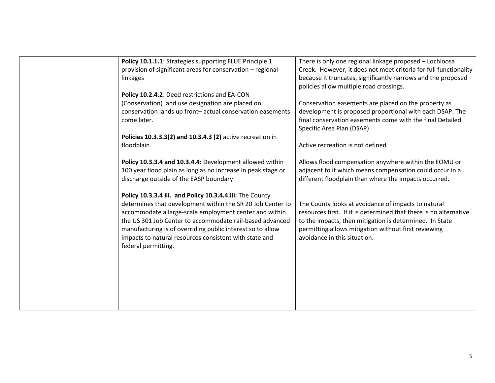| Policy 10.1.1.1: Strategies supporting FLUE Principle 1<br>provision of significant areas for conservation - regional<br>linkages                                                                                                                                                                                                                                                           | There is only one regional linkage proposed - Lochloosa<br>Creek. However, it does not meet criteria for full functionality<br>because it truncates, significantly narrows and the proposed<br>policies allow multiple road crossings.                                      |
|---------------------------------------------------------------------------------------------------------------------------------------------------------------------------------------------------------------------------------------------------------------------------------------------------------------------------------------------------------------------------------------------|-----------------------------------------------------------------------------------------------------------------------------------------------------------------------------------------------------------------------------------------------------------------------------|
| Policy 10.2.4.2: Deed restrictions and EA-CON<br>(Conservation) land use designation are placed on<br>conservation lands up front-actual conservation easements<br>come later.<br>Policies 10.3.3.3(2) and 10.3.4.3 (2) active recreation in<br>floodplain                                                                                                                                  | Conservation easements are placed on the property as<br>development is proposed proportional with each DSAP. The<br>final conservation easements come with the final Detailed<br>Specific Area Plan (DSAP)<br>Active recreation is not defined                              |
| Policy 10.3.3.4 and 10.3.4.4: Development allowed within<br>100 year flood plain as long as no increase in peak stage or<br>discharge outside of the EASP boundary                                                                                                                                                                                                                          | Allows flood compensation anywhere within the EOMU or<br>adjacent to it which means compensation could occur in a<br>different floodplain than where the impacts occurred.                                                                                                  |
| Policy 10.3.3.4 iii. and Policy 10.3.4.4.iii: The County<br>determines that development within the SR 20 Job Center to<br>accommodate a large-scale employment center and within<br>the US 301 Job Center to accommodate rail-based advanced<br>manufacturing is of overriding public interest so to allow<br>impacts to natural resources consistent with state and<br>federal permitting. | The County looks at avoidance of impacts to natural<br>resources first. If it is determined that there is no alternative<br>to the impacts, then mitigation is determined. In State<br>permitting allows mitigation without first reviewing<br>avoidance in this situation. |